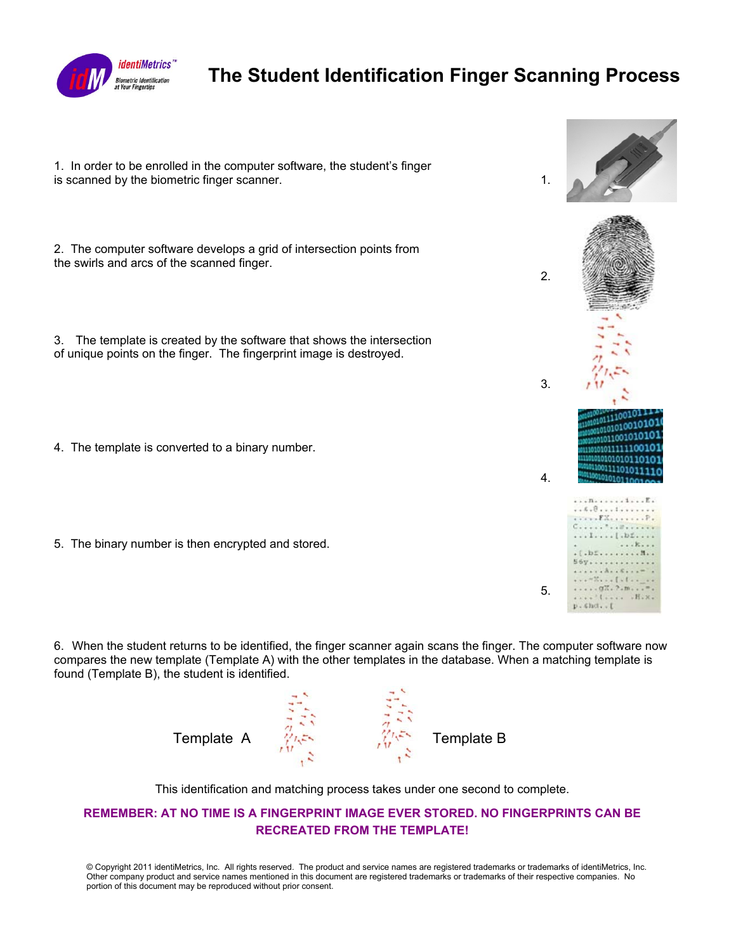

## **The Student Identification Finger Scanning Process**

1. In order to be enrolled in the computer software, the student's finger is scanned by the biometric finger scanner.  $\blacksquare$ 2. The computer software develops a grid of intersection points from the swirls and arcs of the scanned finger. 2. 3. The template is created by the software that shows the intersection of unique points on the finger. The fingerprint image is destroyed. 3.  $^{010011100}_{10111100}$  $\frac{10111400010101}{10101010010101}$ 1011001010101 4. The template is converted to a binary number. 1011111100101 101010110101 4. 110011110101111 . . . n . . . . . . 1 . . . E .  $C_1, \ldots,$   $1, \ldots,$   $1, \ldots,$   $1, \ldots,$ ... 1.... [.b.....  $...$   $k$ . 5. The binary number is then encrypted and stored.  $. 1. b1. . . . . . . . . . . . . . .$ 56y............. ....  $......$   $x...$   $......$ 5.  $\ldots$ ,  $\ldots$ ,  $H$ ,  $x$ ,  $\n *p*$ .*hd...* 

6. When the student returns to be identified, the finger scanner again scans the finger. The computer software now compares the new template (Template A) with the other templates in the database. When a matching template is found (Template B), the student is identified.



This identification and matching process takes under one second to complete.

## **REMEMBER: AT NO TIME IS A FINGERPRINT IMAGE EVER STORED. NO FINGERPRINTS CAN BE RECREATED FROM THE TEMPLATE!**

© Copyright 2011 identiMetrics, Inc. All rights reserved. The product and service names are registered trademarks or trademarks of identiMetrics, Inc. Other company product and service names mentioned in this document are registered trademarks or trademarks of their respective companies. No portion of this document may be reproduced without prior consent.